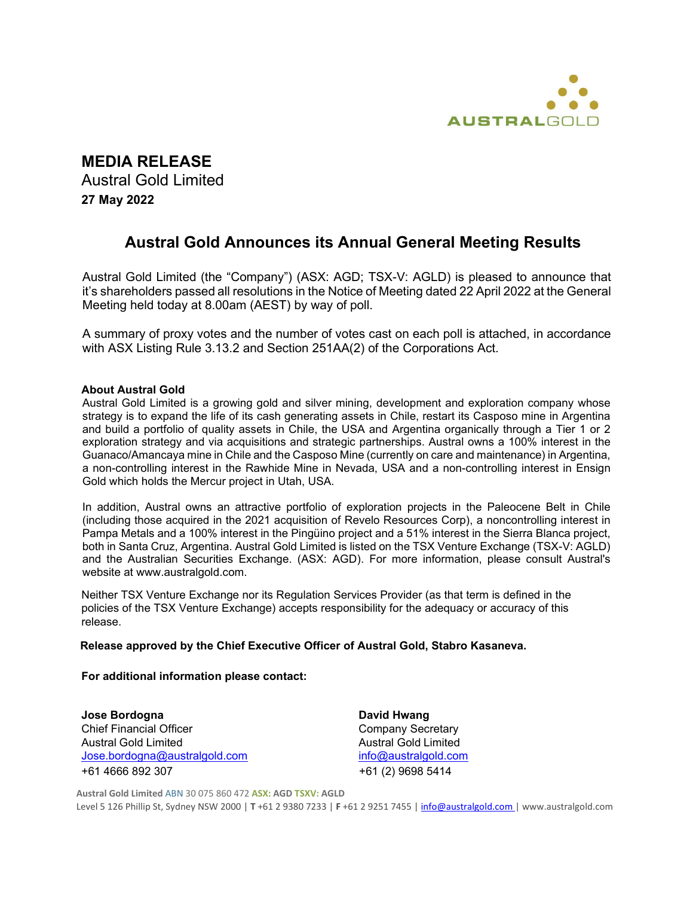

# **MEDIA RELEASE**

Austral Gold Limited **27 May 2022**

# **Austral Gold Announces its Annual General Meeting Results**

Austral Gold Limited (the "Company") (ASX: AGD; TSX-V: AGLD) is pleased to announce that it's shareholders passed all resolutions in the Notice of Meeting dated 22 April 2022 at the General Meeting held today at 8.00am (AEST) by way of poll.

A summary of proxy votes and the number of votes cast on each poll is attached, in accordance with ASX Listing Rule 3.13.2 and Section 251AA(2) of the Corporations Act.

### **About Austral Gold**

Austral Gold Limited is a growing gold and silver mining, development and exploration company whose strategy is to expand the life of its cash generating assets in Chile, restart its Casposo mine in Argentina and build a portfolio of quality assets in Chile, the USA and Argentina organically through a Tier 1 or 2 exploration strategy and via acquisitions and strategic partnerships. Austral owns a 100% interest in the Guanaco/Amancaya mine in Chile and the Casposo Mine (currently on care and maintenance) in Argentina, a non-controlling interest in the Rawhide Mine in Nevada, USA and a non-controlling interest in Ensign Gold which holds the Mercur project in Utah, USA.

In addition, Austral owns an attractive portfolio of exploration projects in the Paleocene Belt in Chile (including those acquired in the 2021 acquisition of Revelo Resources Corp), a noncontrolling interest in Pampa Metals and a 100% interest in the Pingüino project and a 51% interest in the Sierra Blanca project, both in Santa Cruz, Argentina. Austral Gold Limited is listed on the TSX Venture Exchange (TSX-V: AGLD) and the Australian Securities Exchange. (ASX: AGD). For more information, please consult Austral's website at www.australgold.com.

Neither TSX Venture Exchange nor its Regulation Services Provider (as that term is defined in the policies of the TSX Venture Exchange) accepts responsibility for the adequacy or accuracy of this release.

### **Release approved by the Chief Executive Officer of Austral Gold, Stabro Kasaneva.**

### **For additional information please contact:**

**Jose Bordogna David Hwang** Chief Financial Officer Chief Financial Officer Company Secretary Austral Gold Limited **Austral Gold Limited** Jose.bordogna@australgold.com info@australgold.com +61 4666 892 307 +61 (2) 9698 5414

**Austral Gold Limited** ABN 30 075 860 472 **ASX: AGD TSXV: AGLD**

Level 5 126 Phillip St, Sydney NSW 2000 | **T** +61 2 9380 7233 | **F** +61 2 9251 7455 | [info@australgold.com |](mailto:info@australgold.com) [www.australgold.com](http://www.australgold.com/)